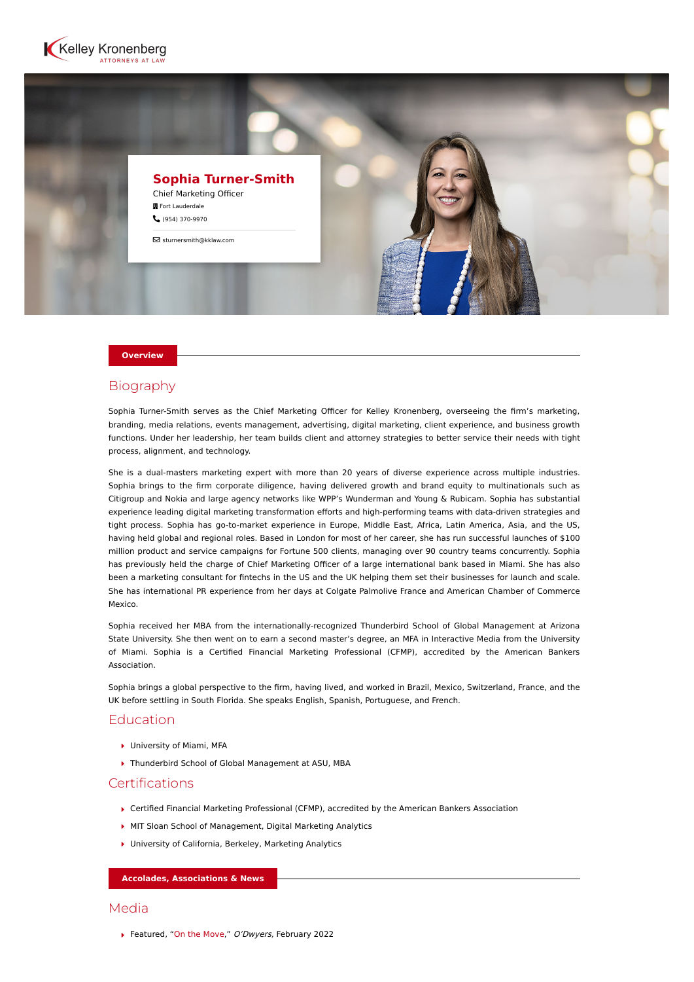



#### **Overview**

# Biography

Sophia Turner-Smith serves as the Chief Marketing Officer for Kelley Kronenberg, overseeing the firm's marketing, branding, media relations, events management, advertising, digital marketing, client experience, and business growth functions. Under her leadership, her team builds client and attorney strategies to better service their needs with tight process, alignment, and technology.

She is a dual-masters marketing expert with more than 20 years of diverse experience across multiple industries. Sophia brings to the firm corporate diligence, having delivered growth and brand equity to multinationals such as Citigroup and Nokia and large agency networks like WPP's Wunderman and Young & Rubicam. Sophia has substantial experience leading digital marketing transformation efforts and high-performing teams with data-driven strategies and tight process. Sophia has go-to-market experience in Europe, Middle East, Africa, Latin America, Asia, and the US, having held global and regional roles. Based in London for most of her career, she has run successful launches of \$100 million product and service campaigns for Fortune 500 clients, managing over 90 country teams concurrently. Sophia has previously held the charge of Chief Marketing Officer of a large international bank based in Miami. She has also been a marketing consultant for fintechs in the US and the UK helping them set their businesses for launch and scale. She has international PR experience from her days at Colgate Palmolive France and American Chamber of Commerce Mexico.

Sophia received her MBA from the internationally-recognized Thunderbird School of Global Management at Arizona State University. She then went on to earn a second master's degree, an MFA in Interactive Media from the University of Miami. Sophia is a Certified Financial Marketing Professional (CFMP), accredited by the American Bankers Association.

Sophia brings a global perspective to the firm, having lived, and worked in Brazil, Mexico, Switzerland, France, and the UK before settling in South Florida. She speaks English, Spanish, Portuguese, and French.

## Education

- University of Miami, MFA
- ▶ Thunderbird School of Global Management at ASU, MBA

### Certifications

- Certified Financial Marketing Professional (CFMP), accredited by the American Bankers Association
- MIT Sloan School of Management, Digital Marketing Analytics
- ▶ University of California, Berkeley, Marketing Analytics

**Accolades, Associations & News**

### Media

▶ Featured, ["On the Move](https://www.odwyerpr.com/story/public/17524/2022-02-17/move-edelman-names-ex-devries-ceo-food-beverage-chair.html)," O'Dwyers, February 2022